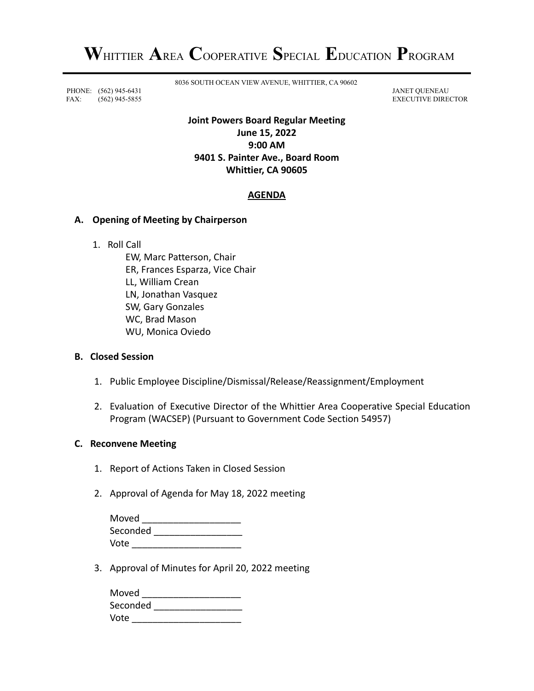PHONE: (562) 945-6431 JANET QUENEAU FAX: (562) 945-5855 EXECUTIVE DIRECTOR

8036 SOUTH OCEAN VIEW AVENUE, WHITTIER, CA 90602

# **Joint Powers Board Regular Meeting June 15, 2022 9:00 AM 9401 S. Painter Ave., Board Room Whittier, CA 90605**

# **AGENDA**

### **A. Opening of Meeting by Chairperson**

1. Roll Call

EW, Marc Patterson, Chair ER, Frances Esparza, Vice Chair LL, William Crean LN, Jonathan Vasquez SW, Gary Gonzales WC, Brad Mason WU, Monica Oviedo

#### **B. Closed Session**

- 1. Public Employee Discipline/Dismissal/Release/Reassignment/Employment
- 2. Evaluation of Executive Director of the Whittier Area Cooperative Special Education Program (WACSEP) (Pursuant to Government Code Section 54957)

### **C. Reconvene Meeting**

- 1. Report of Actions Taken in Closed Session
- 2. Approval of Agenda for May 18, 2022 meeting

| Moved    |  |
|----------|--|
| Seconded |  |
| Vote     |  |

3. Approval of Minutes for April 20, 2022 meeting

| Moved    |  |
|----------|--|
| Seconded |  |
| Vote     |  |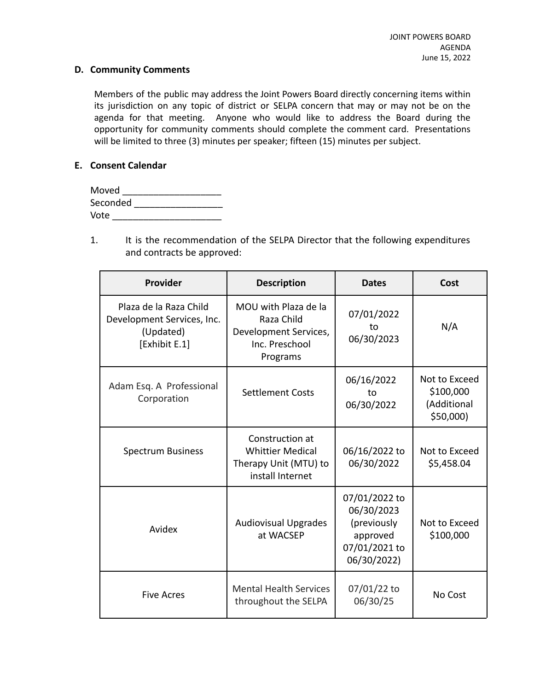#### **D. Community Comments**

Members of the public may address the Joint Powers Board directly concerning items within its jurisdiction on any topic of district or SELPA concern that may or may not be on the agenda for that meeting. Anyone who would like to address the Board during the opportunity for community comments should complete the comment card. Presentations will be limited to three (3) minutes per speaker; fifteen (15) minutes per subject.

### **E. Consent Calendar**

| Moved    |  |
|----------|--|
| Seconded |  |
| Vote     |  |

1. It is the recommendation of the SELPA Director that the following expenditures and contracts be approved:

| <b>Provider</b>                                                                    | <b>Description</b>                                                                        | <b>Dates</b>                                                                           | Cost                                                   |
|------------------------------------------------------------------------------------|-------------------------------------------------------------------------------------------|----------------------------------------------------------------------------------------|--------------------------------------------------------|
| Plaza de la Raza Child<br>Development Services, Inc.<br>(Updated)<br>[Exhibit E.1] | MOU with Plaza de la<br>Raza Child<br>Development Services,<br>Inc. Preschool<br>Programs | 07/01/2022<br>to<br>06/30/2023                                                         | N/A                                                    |
| Adam Esq. A Professional<br>Corporation                                            | <b>Settlement Costs</b>                                                                   | 06/16/2022<br>to<br>06/30/2022                                                         | Not to Exceed<br>\$100,000<br>(Additional<br>\$50,000) |
| <b>Spectrum Business</b>                                                           | Construction at<br><b>Whittier Medical</b><br>Therapy Unit (MTU) to<br>install Internet   | 06/16/2022 to<br>06/30/2022                                                            | Not to Exceed<br>\$5,458.04                            |
| Avidex                                                                             | <b>Audiovisual Upgrades</b><br>at WACSEP                                                  | 07/01/2022 to<br>06/30/2023<br>(previously<br>approved<br>07/01/2021 to<br>06/30/2022) | Not to Exceed<br>\$100,000                             |
| <b>Five Acres</b>                                                                  | <b>Mental Health Services</b><br>throughout the SELPA                                     | 07/01/22 to<br>06/30/25                                                                | No Cost                                                |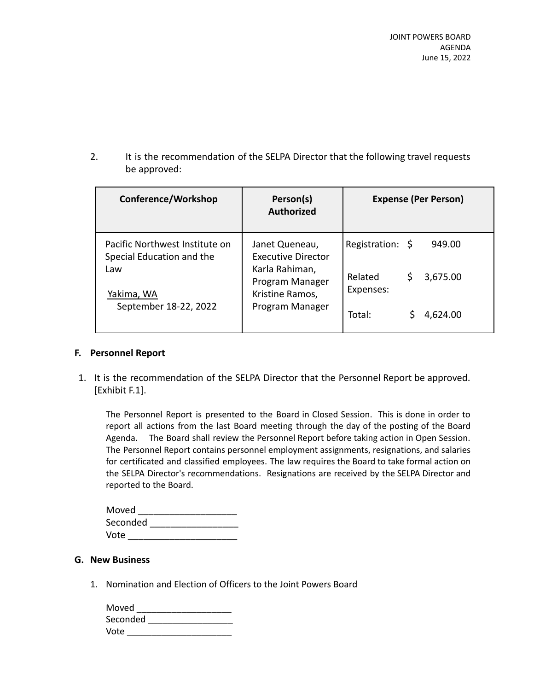2. It is the recommendation of the SELPA Director that the following travel requests be approved:

| Conference/Workshop                                         | Person(s)<br><b>Authorized</b>                       | <b>Expense (Per Person)</b>           |
|-------------------------------------------------------------|------------------------------------------------------|---------------------------------------|
| Pacific Northwest Institute on<br>Special Education and the | Janet Queneau,<br><b>Executive Director</b>          | Registration: \$<br>949.00            |
| Law<br>Yakima, WA                                           | Karla Rahiman,<br>Program Manager<br>Kristine Ramos, | Related<br>3,675.00<br>S<br>Expenses: |
| September 18-22, 2022                                       | Program Manager                                      | Total:<br>4,624.00                    |

### **F. Personnel Report**

1. It is the recommendation of the SELPA Director that the Personnel Report be approved. [Exhibit F.1].

The Personnel Report is presented to the Board in Closed Session. This is done in order to report all actions from the last Board meeting through the day of the posting of the Board Agenda. The Board shall review the Personnel Report before taking action in Open Session. The Personnel Report contains personnel employment assignments, resignations, and salaries for certificated and classified employees. The law requires the Board to take formal action on the SELPA Director's recommendations. Resignations are received by the SELPA Director and reported to the Board.

| Moved    |  |
|----------|--|
| Seconded |  |
| Vote     |  |

### **G. New Business**

1. Nomination and Election of Officers to the Joint Powers Board

| Moved    |  |
|----------|--|
| Seconded |  |
| Vote     |  |